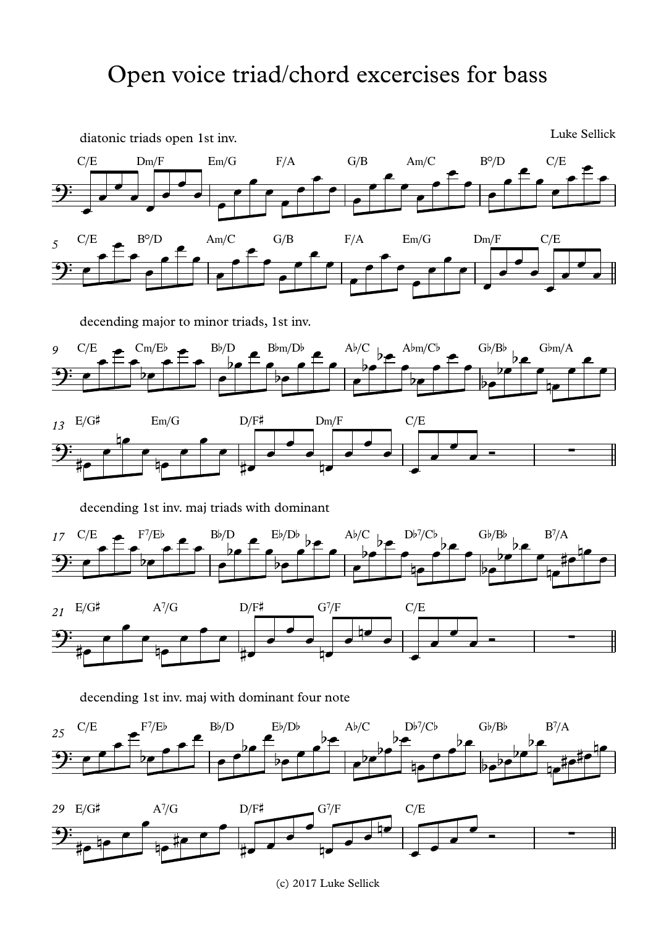

(c) 2017 Luke Sellick